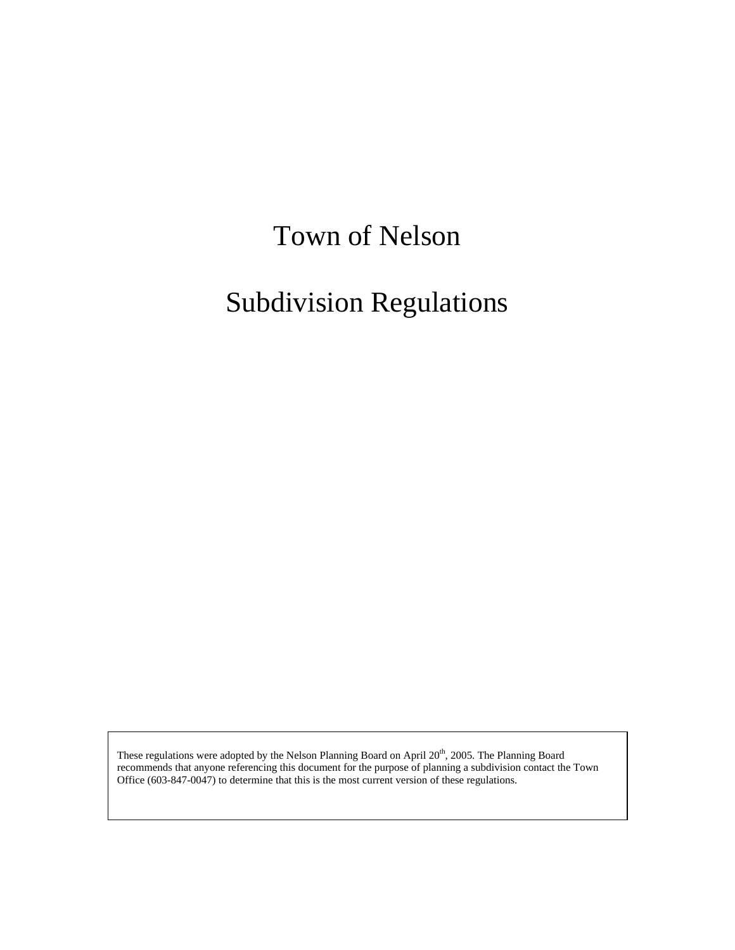# Town of Nelson

# Subdivision Regulations

These regulations were adopted by the Nelson Planning Board on April 20<sup>th</sup>, 2005. The Planning Board recommends that anyone referencing this document for the purpose of planning a subdivision contact the Town Office (603-847-0047) to determine that this is the most current version of these regulations.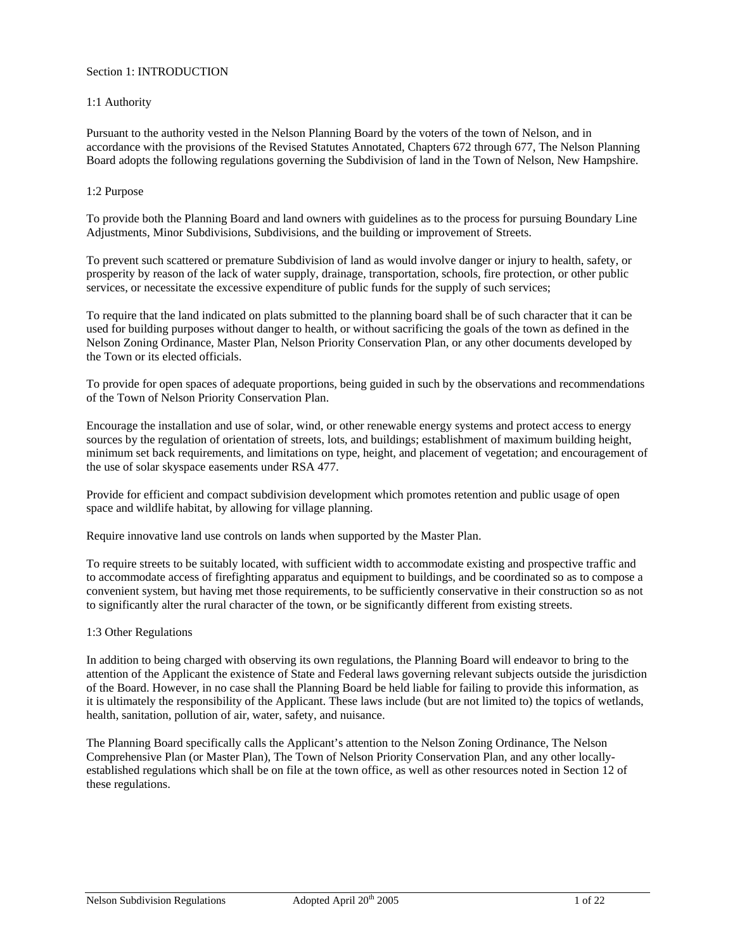### Section 1: INTRODUCTION

#### 1:1 Authority

Pursuant to the authority vested in the Nelson Planning Board by the voters of the town of Nelson, and in accordance with the provisions of the Revised Statutes Annotated, Chapters 672 through 677, The Nelson Planning Board adopts the following regulations governing the Subdivision of land in the Town of Nelson, New Hampshire.

#### 1:2 Purpose

To provide both the Planning Board and land owners with guidelines as to the process for pursuing Boundary Line Adjustments, Minor Subdivisions, Subdivisions, and the building or improvement of Streets.

To prevent such scattered or premature Subdivision of land as would involve danger or injury to health, safety, or prosperity by reason of the lack of water supply, drainage, transportation, schools, fire protection, or other public services, or necessitate the excessive expenditure of public funds for the supply of such services;

To require that the land indicated on plats submitted to the planning board shall be of such character that it can be used for building purposes without danger to health, or without sacrificing the goals of the town as defined in the Nelson Zoning Ordinance, Master Plan, Nelson Priority Conservation Plan, or any other documents developed by the Town or its elected officials.

To provide for open spaces of adequate proportions, being guided in such by the observations and recommendations of the Town of Nelson Priority Conservation Plan.

Encourage the installation and use of solar, wind, or other renewable energy systems and protect access to energy sources by the regulation of orientation of streets, lots, and buildings; establishment of maximum building height, minimum set back requirements, and limitations on type, height, and placement of vegetation; and encouragement of the use of solar skyspace easements under RSA 477.

Provide for efficient and compact subdivision development which promotes retention and public usage of open space and wildlife habitat, by allowing for village planning.

Require innovative land use controls on lands when supported by the Master Plan.

To require streets to be suitably located, with sufficient width to accommodate existing and prospective traffic and to accommodate access of firefighting apparatus and equipment to buildings, and be coordinated so as to compose a convenient system, but having met those requirements, to be sufficiently conservative in their construction so as not to significantly alter the rural character of the town, or be significantly different from existing streets.

#### 1:3 Other Regulations

In addition to being charged with observing its own regulations, the Planning Board will endeavor to bring to the attention of the Applicant the existence of State and Federal laws governing relevant subjects outside the jurisdiction of the Board. However, in no case shall the Planning Board be held liable for failing to provide this information, as it is ultimately the responsibility of the Applicant. These laws include (but are not limited to) the topics of wetlands, health, sanitation, pollution of air, water, safety, and nuisance.

The Planning Board specifically calls the Applicant's attention to the Nelson Zoning Ordinance, The Nelson Comprehensive Plan (or Master Plan), The Town of Nelson Priority Conservation Plan, and any other locallyestablished regulations which shall be on file at the town office, as well as other resources noted in Section 12 of these regulations.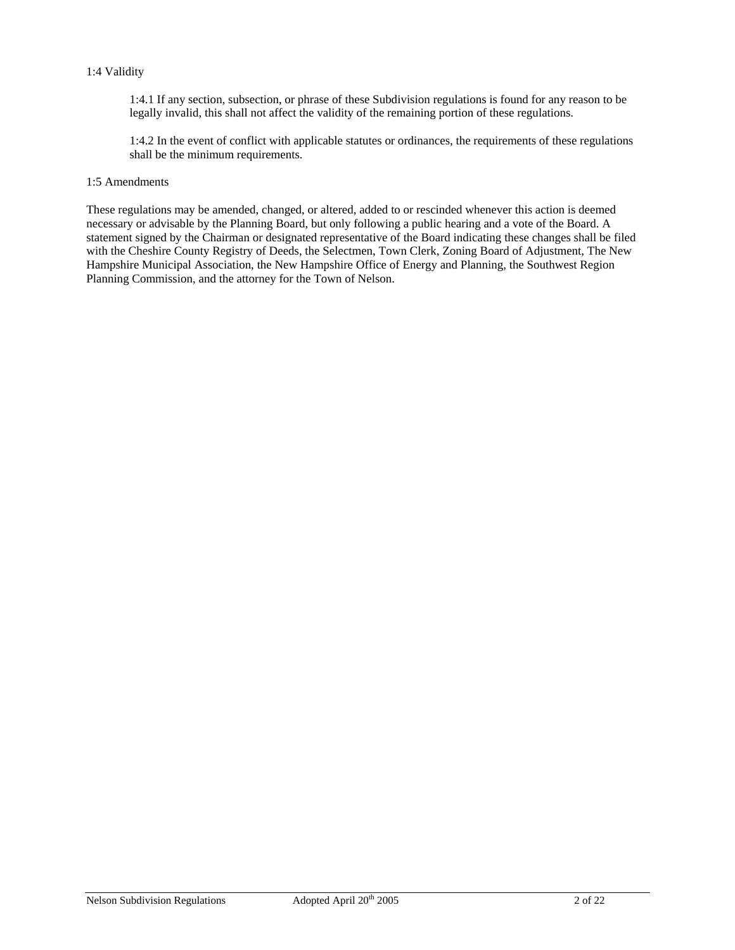#### 1:4 Validity

1:4.1 If any section, subsection, or phrase of these Subdivision regulations is found for any reason to be legally invalid, this shall not affect the validity of the remaining portion of these regulations.

1:4.2 In the event of conflict with applicable statutes or ordinances, the requirements of these regulations shall be the minimum requirements.

### 1:5 Amendments

These regulations may be amended, changed, or altered, added to or rescinded whenever this action is deemed necessary or advisable by the Planning Board, but only following a public hearing and a vote of the Board. A statement signed by the Chairman or designated representative of the Board indicating these changes shall be filed with the Cheshire County Registry of Deeds, the Selectmen, Town Clerk, Zoning Board of Adjustment, The New Hampshire Municipal Association, the New Hampshire Office of Energy and Planning, the Southwest Region Planning Commission, and the attorney for the Town of Nelson.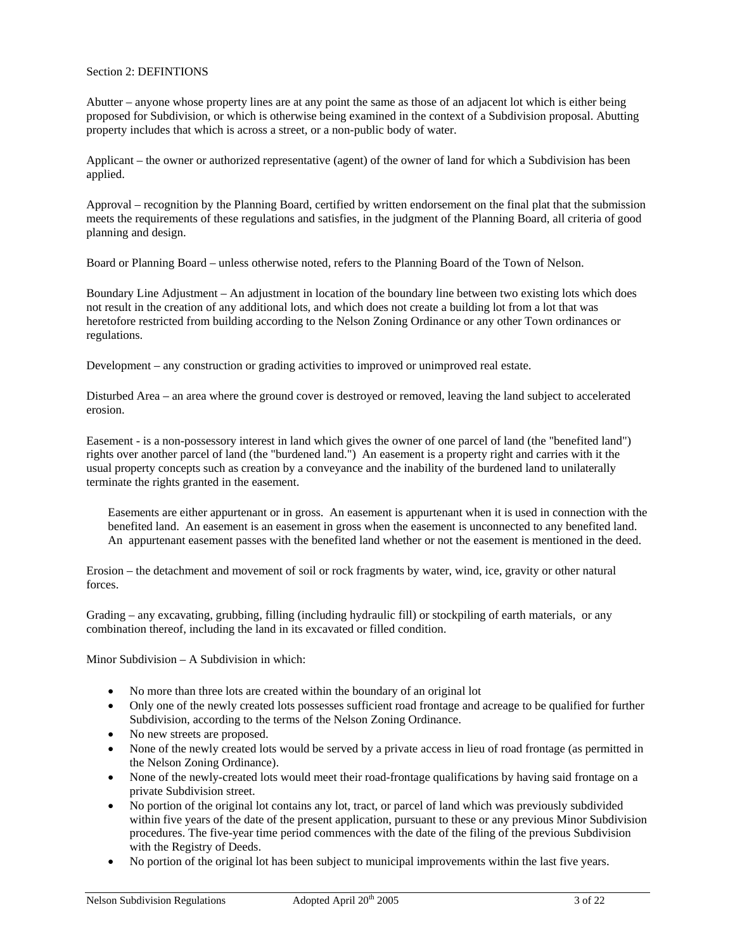### Section 2: DEFINTIONS

Abutter – anyone whose property lines are at any point the same as those of an adjacent lot which is either being proposed for Subdivision, or which is otherwise being examined in the context of a Subdivision proposal. Abutting property includes that which is across a street, or a non-public body of water.

Applicant – the owner or authorized representative (agent) of the owner of land for which a Subdivision has been applied.

Approval – recognition by the Planning Board, certified by written endorsement on the final plat that the submission meets the requirements of these regulations and satisfies, in the judgment of the Planning Board, all criteria of good planning and design.

Board or Planning Board – unless otherwise noted, refers to the Planning Board of the Town of Nelson.

Boundary Line Adjustment – An adjustment in location of the boundary line between two existing lots which does not result in the creation of any additional lots, and which does not create a building lot from a lot that was heretofore restricted from building according to the Nelson Zoning Ordinance or any other Town ordinances or regulations.

Development – any construction or grading activities to improved or unimproved real estate.

Disturbed Area – an area where the ground cover is destroyed or removed, leaving the land subject to accelerated erosion.

Easement - is a non-possessory interest in land which gives the owner of one parcel of land (the "benefited land") rights over another parcel of land (the "burdened land.") An easement is a property right and carries with it the usual property concepts such as creation by a conveyance and the inability of the burdened land to unilaterally terminate the rights granted in the easement.

Easements are either appurtenant or in gross. An easement is appurtenant when it is used in connection with the benefited land. An easement is an easement in gross when the easement is unconnected to any benefited land. An appurtenant easement passes with the benefited land whether or not the easement is mentioned in the deed.

Erosion – the detachment and movement of soil or rock fragments by water, wind, ice, gravity or other natural forces.

Grading – any excavating, grubbing, filling (including hydraulic fill) or stockpiling of earth materials, or any combination thereof, including the land in its excavated or filled condition.

Minor Subdivision – A Subdivision in which:

- No more than three lots are created within the boundary of an original lot
- Only one of the newly created lots possesses sufficient road frontage and acreage to be qualified for further Subdivision, according to the terms of the Nelson Zoning Ordinance.
- No new streets are proposed.
- None of the newly created lots would be served by a private access in lieu of road frontage (as permitted in the Nelson Zoning Ordinance).
- None of the newly-created lots would meet their road-frontage qualifications by having said frontage on a private Subdivision street.
- No portion of the original lot contains any lot, tract, or parcel of land which was previously subdivided within five years of the date of the present application, pursuant to these or any previous Minor Subdivision procedures. The five-year time period commences with the date of the filing of the previous Subdivision with the Registry of Deeds.
- No portion of the original lot has been subject to municipal improvements within the last five years.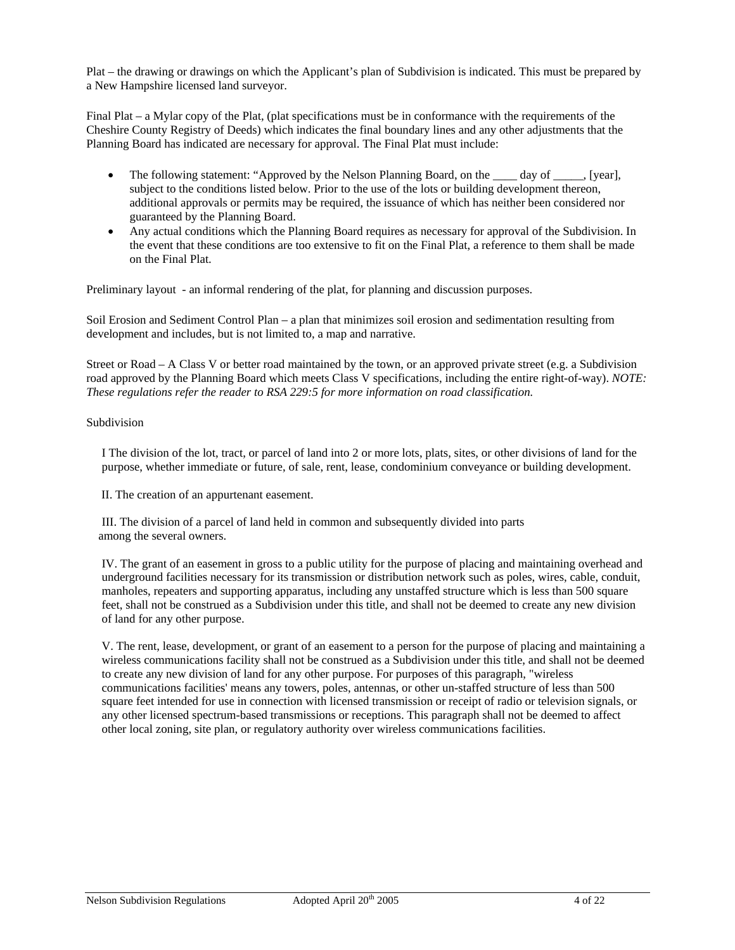Plat – the drawing or drawings on which the Applicant's plan of Subdivision is indicated. This must be prepared by a New Hampshire licensed land surveyor.

Final Plat – a Mylar copy of the Plat, (plat specifications must be in conformance with the requirements of the Cheshire County Registry of Deeds) which indicates the final boundary lines and any other adjustments that the Planning Board has indicated are necessary for approval. The Final Plat must include:

- The following statement: "Approved by the Nelson Planning Board, on the day of fearl, subject to the conditions listed below. Prior to the use of the lots or building development thereon, additional approvals or permits may be required, the issuance of which has neither been considered nor guaranteed by the Planning Board.
- Any actual conditions which the Planning Board requires as necessary for approval of the Subdivision. In the event that these conditions are too extensive to fit on the Final Plat, a reference to them shall be made on the Final Plat.

Preliminary layout - an informal rendering of the plat, for planning and discussion purposes.

Soil Erosion and Sediment Control Plan – a plan that minimizes soil erosion and sedimentation resulting from development and includes, but is not limited to, a map and narrative.

Street or Road – A Class V or better road maintained by the town, or an approved private street (e.g. a Subdivision road approved by the Planning Board which meets Class V specifications, including the entire right-of-way). *NOTE: These regulations refer the reader to RSA 229:5 for more information on road classification.*

# Subdivision

I The division of the lot, tract, or parcel of land into 2 or more lots, plats, sites, or other divisions of land for the purpose, whether immediate or future, of sale, rent, lease, condominium conveyance or building development.

II. The creation of an appurtenant easement.

III. The division of a parcel of land held in common and subsequently divided into parts among the several owners.

IV. The grant of an easement in gross to a public utility for the purpose of placing and maintaining overhead and underground facilities necessary for its transmission or distribution network such as poles, wires, cable, conduit, manholes, repeaters and supporting apparatus, including any unstaffed structure which is less than 500 square feet, shall not be construed as a Subdivision under this title, and shall not be deemed to create any new division of land for any other purpose.

V. The rent, lease, development, or grant of an easement to a person for the purpose of placing and maintaining a wireless communications facility shall not be construed as a Subdivision under this title, and shall not be deemed to create any new division of land for any other purpose. For purposes of this paragraph, "wireless communications facilities' means any towers, poles, antennas, or other un-staffed structure of less than 500 square feet intended for use in connection with licensed transmission or receipt of radio or television signals, or any other licensed spectrum-based transmissions or receptions. This paragraph shall not be deemed to affect other local zoning, site plan, or regulatory authority over wireless communications facilities.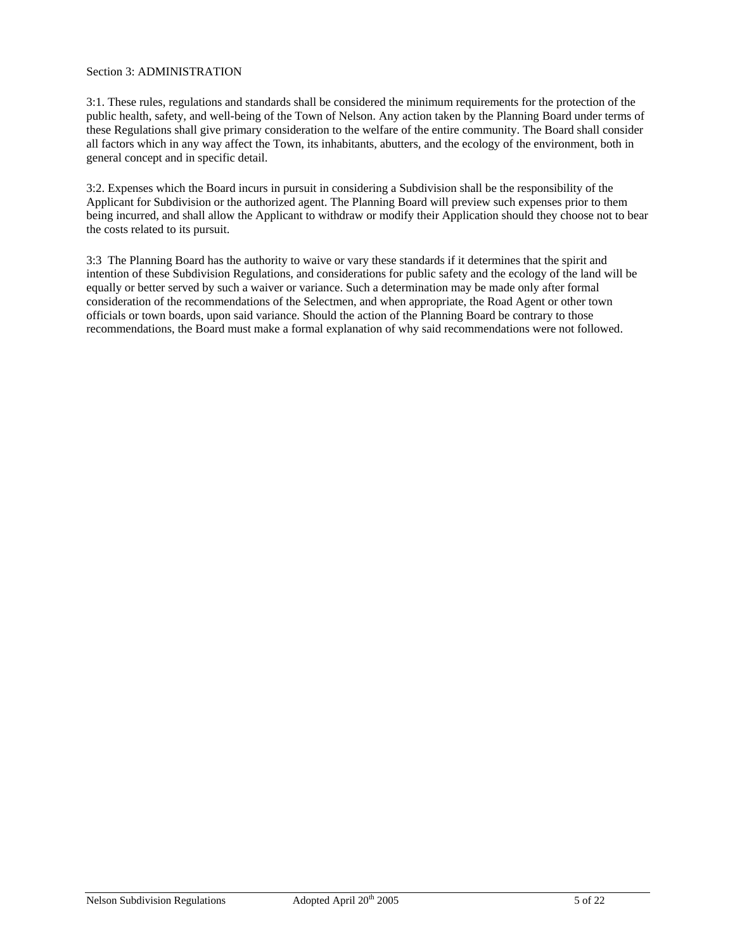### Section 3: ADMINISTRATION

3:1. These rules, regulations and standards shall be considered the minimum requirements for the protection of the public health, safety, and well-being of the Town of Nelson. Any action taken by the Planning Board under terms of these Regulations shall give primary consideration to the welfare of the entire community. The Board shall consider all factors which in any way affect the Town, its inhabitants, abutters, and the ecology of the environment, both in general concept and in specific detail.

3:2. Expenses which the Board incurs in pursuit in considering a Subdivision shall be the responsibility of the Applicant for Subdivision or the authorized agent. The Planning Board will preview such expenses prior to them being incurred, and shall allow the Applicant to withdraw or modify their Application should they choose not to bear the costs related to its pursuit.

3:3 The Planning Board has the authority to waive or vary these standards if it determines that the spirit and intention of these Subdivision Regulations, and considerations for public safety and the ecology of the land will be equally or better served by such a waiver or variance. Such a determination may be made only after formal consideration of the recommendations of the Selectmen, and when appropriate, the Road Agent or other town officials or town boards, upon said variance. Should the action of the Planning Board be contrary to those recommendations, the Board must make a formal explanation of why said recommendations were not followed.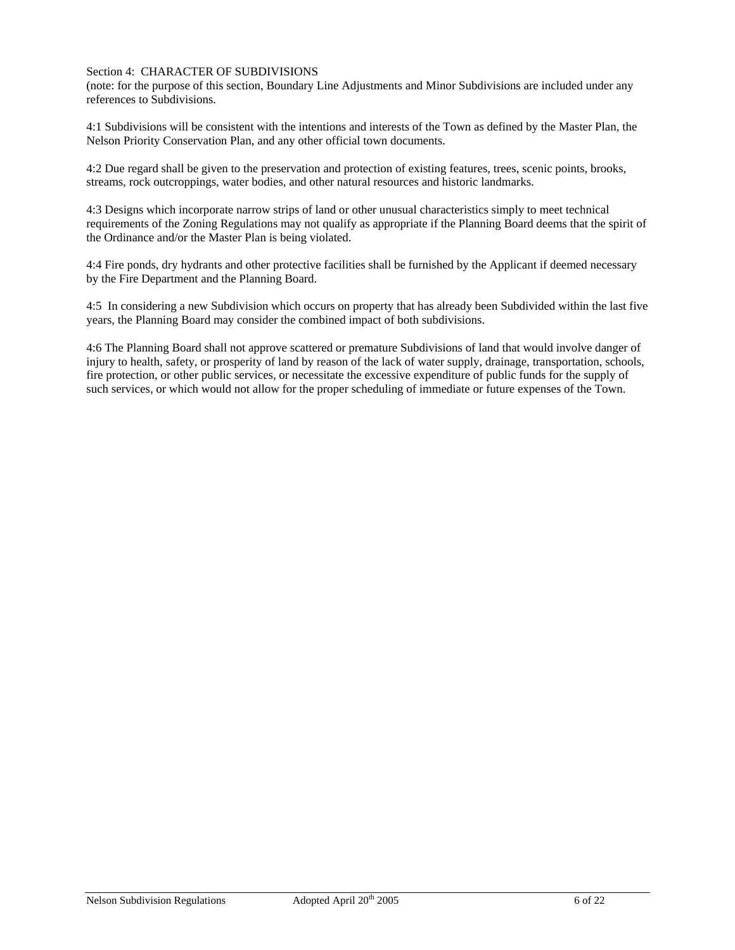#### Section 4: CHARACTER OF SUBDIVISIONS

(note: for the purpose of this section, Boundary Line Adjustments and Minor Subdivisions are included under any references to Subdivisions.

4:1 Subdivisions will be consistent with the intentions and interests of the Town as defined by the Master Plan, the Nelson Priority Conservation Plan, and any other official town documents.

4:2 Due regard shall be given to the preservation and protection of existing features, trees, scenic points, brooks, streams, rock outcroppings, water bodies, and other natural resources and historic landmarks.

4:3 Designs which incorporate narrow strips of land or other unusual characteristics simply to meet technical requirements of the Zoning Regulations may not qualify as appropriate if the Planning Board deems that the spirit of the Ordinance and/or the Master Plan is being violated.

4:4 Fire ponds, dry hydrants and other protective facilities shall be furnished by the Applicant if deemed necessary by the Fire Department and the Planning Board.

4:5 In considering a new Subdivision which occurs on property that has already been Subdivided within the last five years, the Planning Board may consider the combined impact of both subdivisions.

4:6 The Planning Board shall not approve scattered or premature Subdivisions of land that would involve danger of injury to health, safety, or prosperity of land by reason of the lack of water supply, drainage, transportation, schools, fire protection, or other public services, or necessitate the excessive expenditure of public funds for the supply of such services, or which would not allow for the proper scheduling of immediate or future expenses of the Town.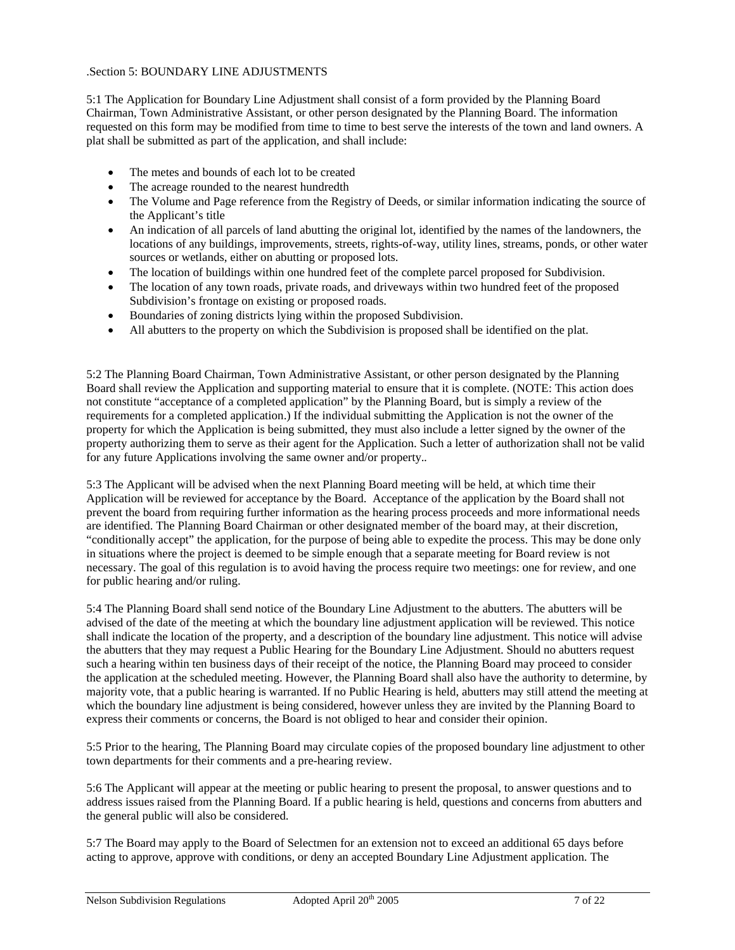## .Section 5: BOUNDARY LINE ADJUSTMENTS

5:1 The Application for Boundary Line Adjustment shall consist of a form provided by the Planning Board Chairman, Town Administrative Assistant, or other person designated by the Planning Board. The information requested on this form may be modified from time to time to best serve the interests of the town and land owners. A plat shall be submitted as part of the application, and shall include:

- The metes and bounds of each lot to be created
- The acreage rounded to the nearest hundredth
- The Volume and Page reference from the Registry of Deeds, or similar information indicating the source of the Applicant's title
- An indication of all parcels of land abutting the original lot, identified by the names of the landowners, the locations of any buildings, improvements, streets, rights-of-way, utility lines, streams, ponds, or other water sources or wetlands, either on abutting or proposed lots.
- The location of buildings within one hundred feet of the complete parcel proposed for Subdivision.
- The location of any town roads, private roads, and driveways within two hundred feet of the proposed Subdivision's frontage on existing or proposed roads.
- Boundaries of zoning districts lying within the proposed Subdivision.
- All abutters to the property on which the Subdivision is proposed shall be identified on the plat.

5:2 The Planning Board Chairman, Town Administrative Assistant, or other person designated by the Planning Board shall review the Application and supporting material to ensure that it is complete. (NOTE: This action does not constitute "acceptance of a completed application" by the Planning Board, but is simply a review of the requirements for a completed application.) If the individual submitting the Application is not the owner of the property for which the Application is being submitted, they must also include a letter signed by the owner of the property authorizing them to serve as their agent for the Application. Such a letter of authorization shall not be valid for any future Applications involving the same owner and/or property.*.* 

5:3 The Applicant will be advised when the next Planning Board meeting will be held, at which time their Application will be reviewed for acceptance by the Board. Acceptance of the application by the Board shall not prevent the board from requiring further information as the hearing process proceeds and more informational needs are identified. The Planning Board Chairman or other designated member of the board may, at their discretion, "conditionally accept" the application, for the purpose of being able to expedite the process. This may be done only in situations where the project is deemed to be simple enough that a separate meeting for Board review is not necessary. The goal of this regulation is to avoid having the process require two meetings: one for review, and one for public hearing and/or ruling.

5:4 The Planning Board shall send notice of the Boundary Line Adjustment to the abutters. The abutters will be advised of the date of the meeting at which the boundary line adjustment application will be reviewed. This notice shall indicate the location of the property, and a description of the boundary line adjustment. This notice will advise the abutters that they may request a Public Hearing for the Boundary Line Adjustment. Should no abutters request such a hearing within ten business days of their receipt of the notice, the Planning Board may proceed to consider the application at the scheduled meeting. However, the Planning Board shall also have the authority to determine, by majority vote, that a public hearing is warranted. If no Public Hearing is held, abutters may still attend the meeting at which the boundary line adjustment is being considered, however unless they are invited by the Planning Board to express their comments or concerns, the Board is not obliged to hear and consider their opinion.

5:5 Prior to the hearing, The Planning Board may circulate copies of the proposed boundary line adjustment to other town departments for their comments and a pre-hearing review.

5:6 The Applicant will appear at the meeting or public hearing to present the proposal, to answer questions and to address issues raised from the Planning Board. If a public hearing is held, questions and concerns from abutters and the general public will also be considered.

5:7 The Board may apply to the Board of Selectmen for an extension not to exceed an additional 65 days before acting to approve, approve with conditions, or deny an accepted Boundary Line Adjustment application. The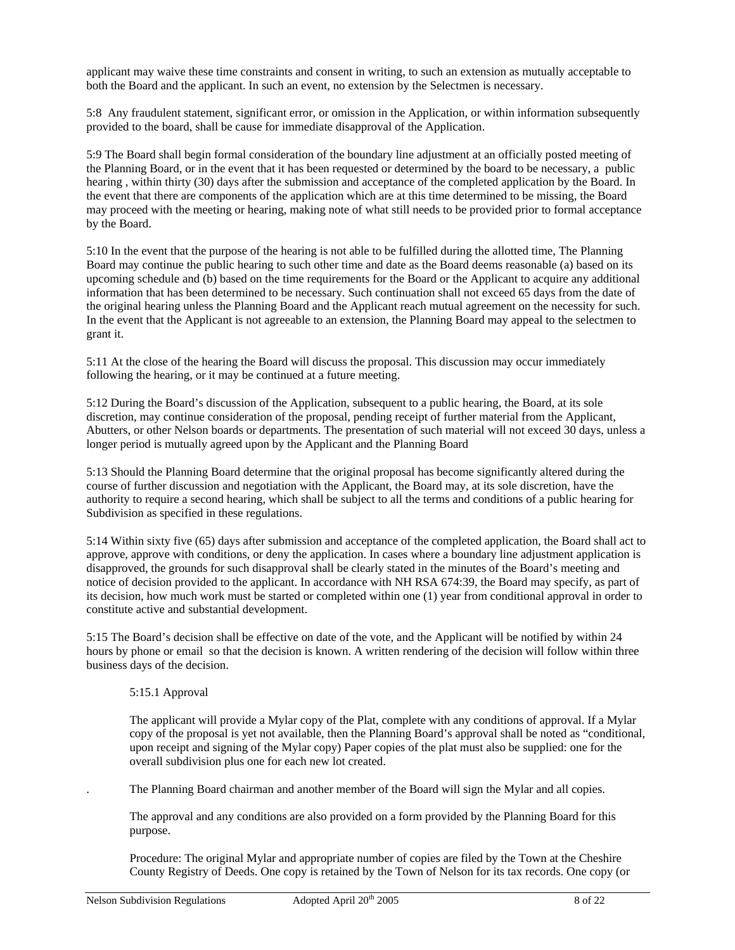applicant may waive these time constraints and consent in writing, to such an extension as mutually acceptable to both the Board and the applicant. In such an event, no extension by the Selectmen is necessary.

5:8 Any fraudulent statement, significant error, or omission in the Application, or within information subsequently provided to the board, shall be cause for immediate disapproval of the Application.

5:9 The Board shall begin formal consideration of the boundary line adjustment at an officially posted meeting of the Planning Board, or in the event that it has been requested or determined by the board to be necessary, a public hearing , within thirty (30) days after the submission and acceptance of the completed application by the Board. In the event that there are components of the application which are at this time determined to be missing, the Board may proceed with the meeting or hearing, making note of what still needs to be provided prior to formal acceptance by the Board.

5:10 In the event that the purpose of the hearing is not able to be fulfilled during the allotted time, The Planning Board may continue the public hearing to such other time and date as the Board deems reasonable (a) based on its upcoming schedule and (b) based on the time requirements for the Board or the Applicant to acquire any additional information that has been determined to be necessary. Such continuation shall not exceed 65 days from the date of the original hearing unless the Planning Board and the Applicant reach mutual agreement on the necessity for such. In the event that the Applicant is not agreeable to an extension, the Planning Board may appeal to the selectmen to grant it.

5:11 At the close of the hearing the Board will discuss the proposal. This discussion may occur immediately following the hearing, or it may be continued at a future meeting.

5:12 During the Board's discussion of the Application, subsequent to a public hearing, the Board, at its sole discretion, may continue consideration of the proposal, pending receipt of further material from the Applicant, Abutters, or other Nelson boards or departments. The presentation of such material will not exceed 30 days, unless a longer period is mutually agreed upon by the Applicant and the Planning Board

5:13 Should the Planning Board determine that the original proposal has become significantly altered during the course of further discussion and negotiation with the Applicant, the Board may, at its sole discretion, have the authority to require a second hearing, which shall be subject to all the terms and conditions of a public hearing for Subdivision as specified in these regulations.

5:14 Within sixty five (65) days after submission and acceptance of the completed application, the Board shall act to approve, approve with conditions, or deny the application. In cases where a boundary line adjustment application is disapproved, the grounds for such disapproval shall be clearly stated in the minutes of the Board's meeting and notice of decision provided to the applicant. In accordance with NH RSA 674:39, the Board may specify, as part of its decision, how much work must be started or completed within one (1) year from conditional approval in order to constitute active and substantial development.

5:15 The Board's decision shall be effective on date of the vote, and the Applicant will be notified by within 24 hours by phone or email so that the decision is known. A written rendering of the decision will follow within three business days of the decision.

#### 5:15.1 Approval

The applicant will provide a Mylar copy of the Plat, complete with any conditions of approval. If a Mylar copy of the proposal is yet not available, then the Planning Board's approval shall be noted as "conditional, upon receipt and signing of the Mylar copy) Paper copies of the plat must also be supplied: one for the overall subdivision plus one for each new lot created.

. The Planning Board chairman and another member of the Board will sign the Mylar and all copies.

The approval and any conditions are also provided on a form provided by the Planning Board for this purpose.

Procedure: The original Mylar and appropriate number of copies are filed by the Town at the Cheshire County Registry of Deeds. One copy is retained by the Town of Nelson for its tax records. One copy (or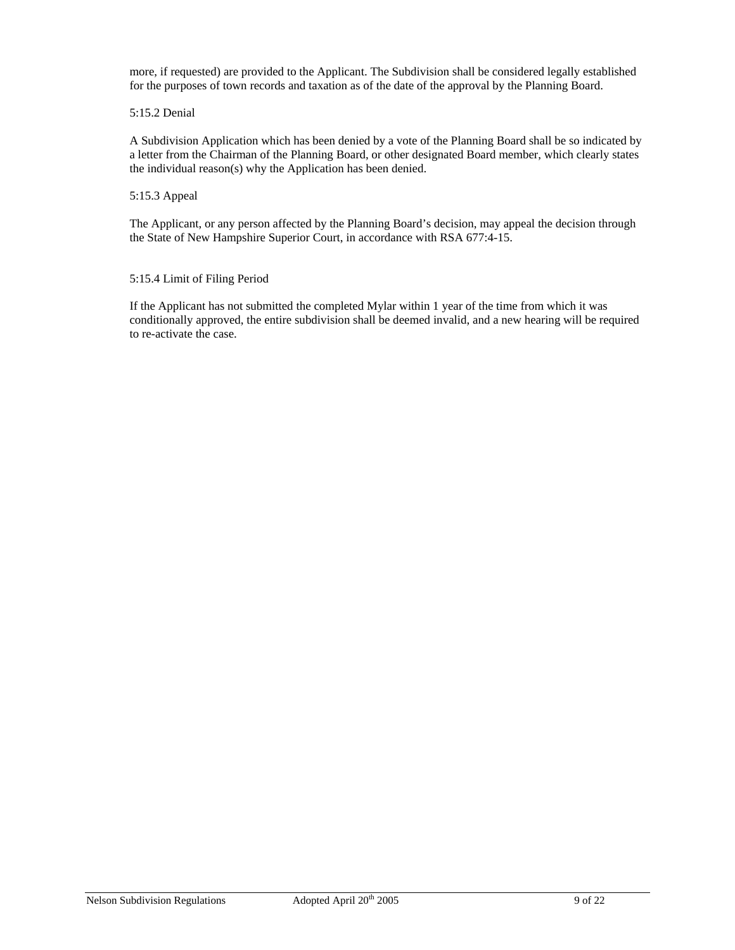more, if requested) are provided to the Applicant. The Subdivision shall be considered legally established for the purposes of town records and taxation as of the date of the approval by the Planning Board.

#### 5:15.2 Denial

A Subdivision Application which has been denied by a vote of the Planning Board shall be so indicated by a letter from the Chairman of the Planning Board, or other designated Board member, which clearly states the individual reason(s) why the Application has been denied.

#### 5:15.3 Appeal

The Applicant, or any person affected by the Planning Board's decision, may appeal the decision through the State of New Hampshire Superior Court, in accordance with RSA 677:4-15.

#### 5:15.4 Limit of Filing Period

If the Applicant has not submitted the completed Mylar within 1 year of the time from which it was conditionally approved, the entire subdivision shall be deemed invalid, and a new hearing will be required to re-activate the case.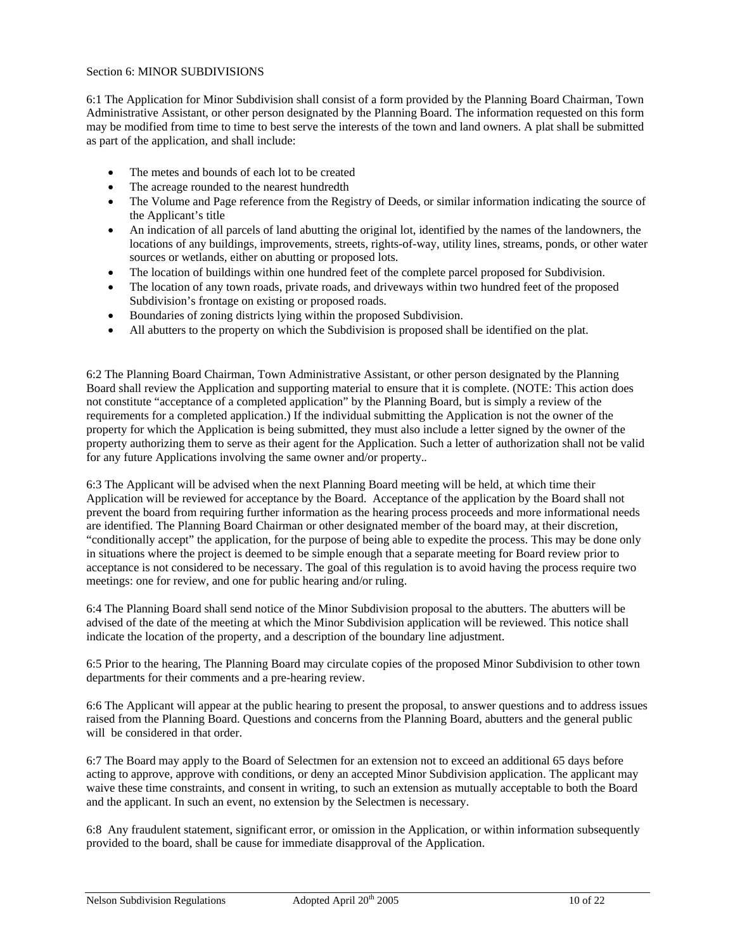#### Section 6: MINOR SUBDIVISIONS

6:1 The Application for Minor Subdivision shall consist of a form provided by the Planning Board Chairman, Town Administrative Assistant, or other person designated by the Planning Board. The information requested on this form may be modified from time to time to best serve the interests of the town and land owners. A plat shall be submitted as part of the application, and shall include:

- The metes and bounds of each lot to be created
- The acreage rounded to the nearest hundredth
- The Volume and Page reference from the Registry of Deeds, or similar information indicating the source of the Applicant's title
- An indication of all parcels of land abutting the original lot, identified by the names of the landowners, the locations of any buildings, improvements, streets, rights-of-way, utility lines, streams, ponds, or other water sources or wetlands, either on abutting or proposed lots.
- The location of buildings within one hundred feet of the complete parcel proposed for Subdivision.
- The location of any town roads, private roads, and driveways within two hundred feet of the proposed Subdivision's frontage on existing or proposed roads.
- Boundaries of zoning districts lying within the proposed Subdivision.
- All abutters to the property on which the Subdivision is proposed shall be identified on the plat.

6:2 The Planning Board Chairman, Town Administrative Assistant, or other person designated by the Planning Board shall review the Application and supporting material to ensure that it is complete. (NOTE: This action does not constitute "acceptance of a completed application" by the Planning Board, but is simply a review of the requirements for a completed application.) If the individual submitting the Application is not the owner of the property for which the Application is being submitted, they must also include a letter signed by the owner of the property authorizing them to serve as their agent for the Application. Such a letter of authorization shall not be valid for any future Applications involving the same owner and/or property.*.* 

6:3 The Applicant will be advised when the next Planning Board meeting will be held, at which time their Application will be reviewed for acceptance by the Board. Acceptance of the application by the Board shall not prevent the board from requiring further information as the hearing process proceeds and more informational needs are identified. The Planning Board Chairman or other designated member of the board may, at their discretion, "conditionally accept" the application, for the purpose of being able to expedite the process. This may be done only in situations where the project is deemed to be simple enough that a separate meeting for Board review prior to acceptance is not considered to be necessary. The goal of this regulation is to avoid having the process require two meetings: one for review, and one for public hearing and/or ruling.

6:4 The Planning Board shall send notice of the Minor Subdivision proposal to the abutters. The abutters will be advised of the date of the meeting at which the Minor Subdivision application will be reviewed. This notice shall indicate the location of the property, and a description of the boundary line adjustment.

6:5 Prior to the hearing, The Planning Board may circulate copies of the proposed Minor Subdivision to other town departments for their comments and a pre-hearing review.

6:6 The Applicant will appear at the public hearing to present the proposal, to answer questions and to address issues raised from the Planning Board. Questions and concerns from the Planning Board, abutters and the general public will be considered in that order.

6:7 The Board may apply to the Board of Selectmen for an extension not to exceed an additional 65 days before acting to approve, approve with conditions, or deny an accepted Minor Subdivision application. The applicant may waive these time constraints, and consent in writing, to such an extension as mutually acceptable to both the Board and the applicant. In such an event, no extension by the Selectmen is necessary.

6:8 Any fraudulent statement, significant error, or omission in the Application, or within information subsequently provided to the board, shall be cause for immediate disapproval of the Application.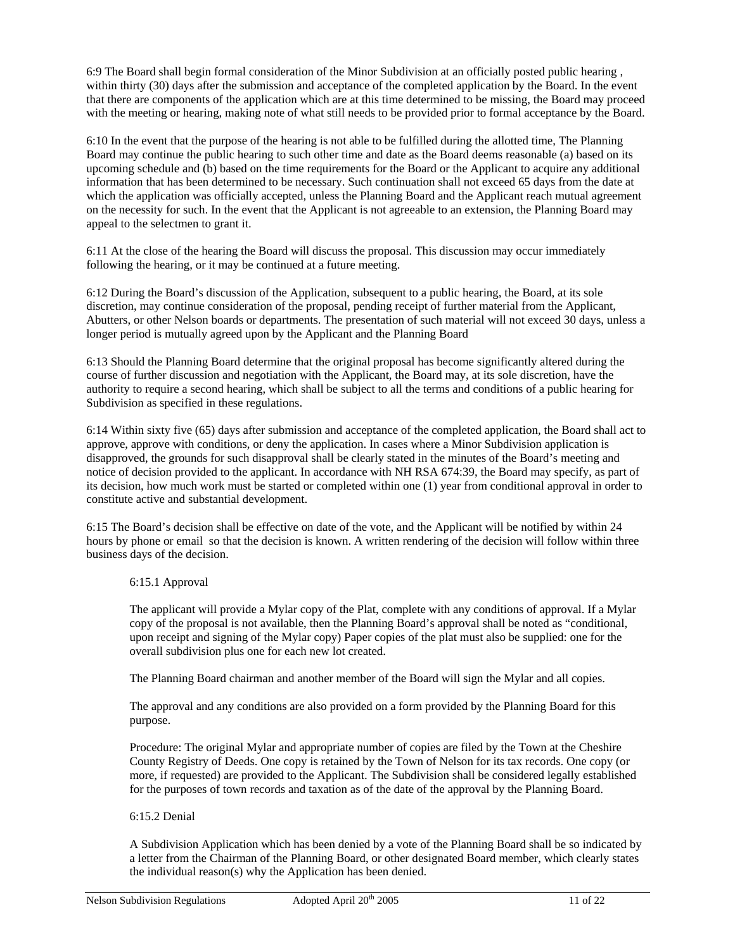6:9 The Board shall begin formal consideration of the Minor Subdivision at an officially posted public hearing , within thirty (30) days after the submission and acceptance of the completed application by the Board. In the event that there are components of the application which are at this time determined to be missing, the Board may proceed with the meeting or hearing, making note of what still needs to be provided prior to formal acceptance by the Board.

6:10 In the event that the purpose of the hearing is not able to be fulfilled during the allotted time, The Planning Board may continue the public hearing to such other time and date as the Board deems reasonable (a) based on its upcoming schedule and (b) based on the time requirements for the Board or the Applicant to acquire any additional information that has been determined to be necessary. Such continuation shall not exceed 65 days from the date at which the application was officially accepted, unless the Planning Board and the Applicant reach mutual agreement on the necessity for such. In the event that the Applicant is not agreeable to an extension, the Planning Board may appeal to the selectmen to grant it.

6:11 At the close of the hearing the Board will discuss the proposal. This discussion may occur immediately following the hearing, or it may be continued at a future meeting.

6:12 During the Board's discussion of the Application, subsequent to a public hearing, the Board, at its sole discretion, may continue consideration of the proposal, pending receipt of further material from the Applicant, Abutters, or other Nelson boards or departments. The presentation of such material will not exceed 30 days, unless a longer period is mutually agreed upon by the Applicant and the Planning Board

6:13 Should the Planning Board determine that the original proposal has become significantly altered during the course of further discussion and negotiation with the Applicant, the Board may, at its sole discretion, have the authority to require a second hearing, which shall be subject to all the terms and conditions of a public hearing for Subdivision as specified in these regulations.

6:14 Within sixty five (65) days after submission and acceptance of the completed application, the Board shall act to approve, approve with conditions, or deny the application. In cases where a Minor Subdivision application is disapproved, the grounds for such disapproval shall be clearly stated in the minutes of the Board's meeting and notice of decision provided to the applicant. In accordance with NH RSA 674:39, the Board may specify, as part of its decision, how much work must be started or completed within one (1) year from conditional approval in order to constitute active and substantial development.

6:15 The Board's decision shall be effective on date of the vote, and the Applicant will be notified by within 24 hours by phone or email so that the decision is known. A written rendering of the decision will follow within three business days of the decision.

6:15.1 Approval

The applicant will provide a Mylar copy of the Plat, complete with any conditions of approval. If a Mylar copy of the proposal is not available, then the Planning Board's approval shall be noted as "conditional, upon receipt and signing of the Mylar copy) Paper copies of the plat must also be supplied: one for the overall subdivision plus one for each new lot created.

The Planning Board chairman and another member of the Board will sign the Mylar and all copies.

The approval and any conditions are also provided on a form provided by the Planning Board for this purpose.

Procedure: The original Mylar and appropriate number of copies are filed by the Town at the Cheshire County Registry of Deeds. One copy is retained by the Town of Nelson for its tax records. One copy (or more, if requested) are provided to the Applicant. The Subdivision shall be considered legally established for the purposes of town records and taxation as of the date of the approval by the Planning Board.

# 6:15.2 Denial

A Subdivision Application which has been denied by a vote of the Planning Board shall be so indicated by a letter from the Chairman of the Planning Board, or other designated Board member, which clearly states the individual reason(s) why the Application has been denied.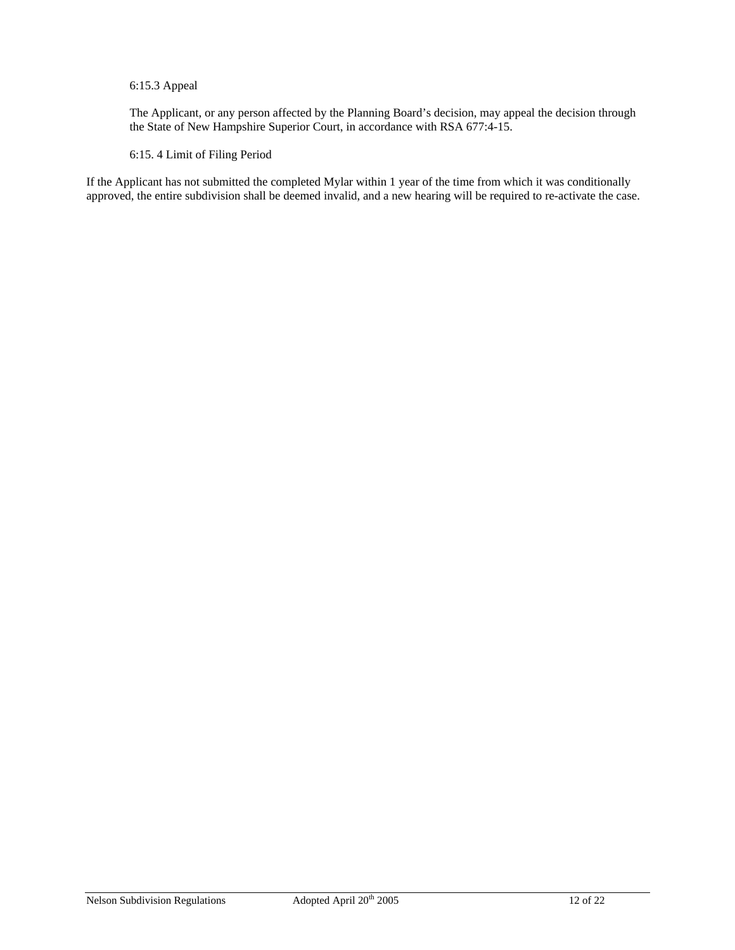# 6:15.3 Appeal

The Applicant, or any person affected by the Planning Board's decision, may appeal the decision through the State of New Hampshire Superior Court, in accordance with RSA 677:4-15.

# 6:15. 4 Limit of Filing Period

If the Applicant has not submitted the completed Mylar within 1 year of the time from which it was conditionally approved, the entire subdivision shall be deemed invalid, and a new hearing will be required to re-activate the case.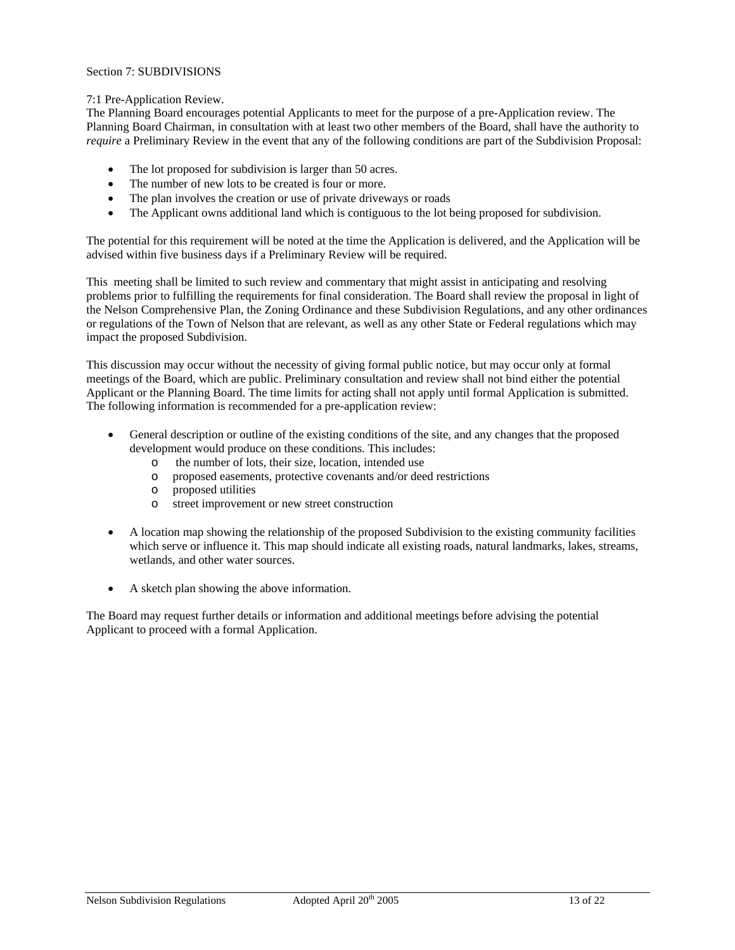### Section 7: SUBDIVISIONS

#### 7:1 Pre-Application Review.

The Planning Board encourages potential Applicants to meet for the purpose of a pre-Application review. The Planning Board Chairman, in consultation with at least two other members of the Board, shall have the authority to *require* a Preliminary Review in the event that any of the following conditions are part of the Subdivision Proposal:

- The lot proposed for subdivision is larger than 50 acres.
- The number of new lots to be created is four or more.
- The plan involves the creation or use of private driveways or roads
- The Applicant owns additional land which is contiguous to the lot being proposed for subdivision.

The potential for this requirement will be noted at the time the Application is delivered, and the Application will be advised within five business days if a Preliminary Review will be required.

This meeting shall be limited to such review and commentary that might assist in anticipating and resolving problems prior to fulfilling the requirements for final consideration. The Board shall review the proposal in light of the Nelson Comprehensive Plan, the Zoning Ordinance and these Subdivision Regulations, and any other ordinances or regulations of the Town of Nelson that are relevant, as well as any other State or Federal regulations which may impact the proposed Subdivision.

This discussion may occur without the necessity of giving formal public notice, but may occur only at formal meetings of the Board, which are public. Preliminary consultation and review shall not bind either the potential Applicant or the Planning Board. The time limits for acting shall not apply until formal Application is submitted. The following information is recommended for a pre-application review:

- General description or outline of the existing conditions of the site, and any changes that the proposed development would produce on these conditions. This includes:
	- o the number of lots, their size, location, intended use
	- o proposed easements, protective covenants and/or deed restrictions
	- o proposed utilities
	- o street improvement or new street construction
- A location map showing the relationship of the proposed Subdivision to the existing community facilities which serve or influence it. This map should indicate all existing roads, natural landmarks, lakes, streams, wetlands, and other water sources.
- A sketch plan showing the above information.

The Board may request further details or information and additional meetings before advising the potential Applicant to proceed with a formal Application.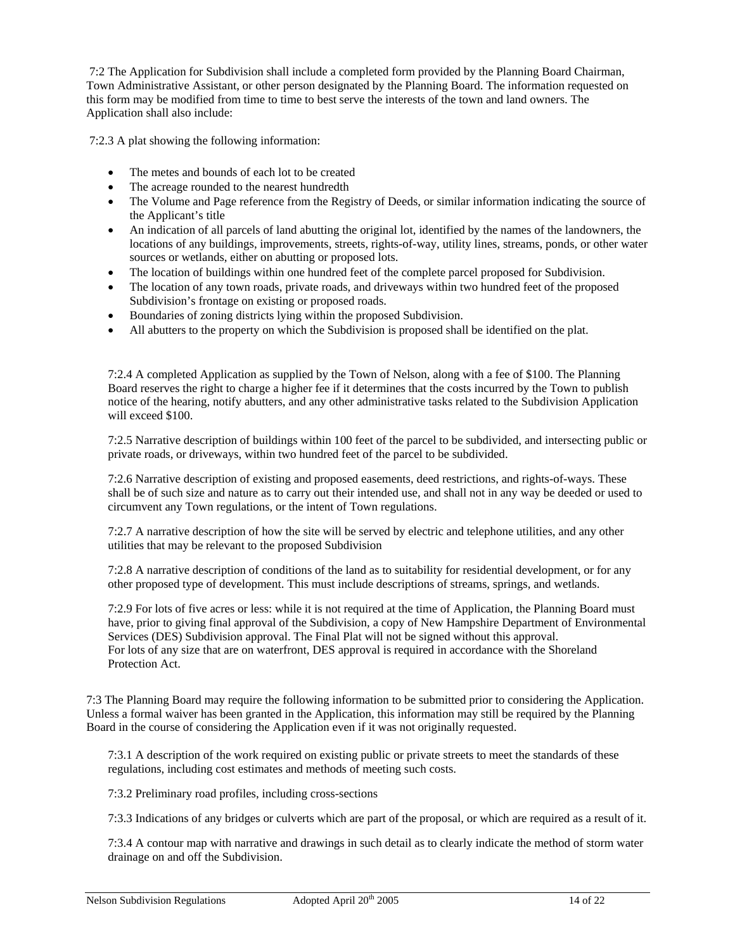7:2 The Application for Subdivision shall include a completed form provided by the Planning Board Chairman, Town Administrative Assistant, or other person designated by the Planning Board. The information requested on this form may be modified from time to time to best serve the interests of the town and land owners. The Application shall also include:

7:2.3 A plat showing the following information:

- The metes and bounds of each lot to be created
- The acreage rounded to the nearest hundredth
- The Volume and Page reference from the Registry of Deeds, or similar information indicating the source of the Applicant's title
- An indication of all parcels of land abutting the original lot, identified by the names of the landowners, the locations of any buildings, improvements, streets, rights-of-way, utility lines, streams, ponds, or other water sources or wetlands, either on abutting or proposed lots.
- The location of buildings within one hundred feet of the complete parcel proposed for Subdivision.
- The location of any town roads, private roads, and driveways within two hundred feet of the proposed Subdivision's frontage on existing or proposed roads.
- Boundaries of zoning districts lying within the proposed Subdivision.
- All abutters to the property on which the Subdivision is proposed shall be identified on the plat.

7:2.4 A completed Application as supplied by the Town of Nelson, along with a fee of \$100. The Planning Board reserves the right to charge a higher fee if it determines that the costs incurred by the Town to publish notice of the hearing, notify abutters, and any other administrative tasks related to the Subdivision Application will exceed \$100.

7:2.5 Narrative description of buildings within 100 feet of the parcel to be subdivided, and intersecting public or private roads, or driveways, within two hundred feet of the parcel to be subdivided.

7:2.6 Narrative description of existing and proposed easements, deed restrictions, and rights-of-ways. These shall be of such size and nature as to carry out their intended use, and shall not in any way be deeded or used to circumvent any Town regulations, or the intent of Town regulations.

7:2.7 A narrative description of how the site will be served by electric and telephone utilities, and any other utilities that may be relevant to the proposed Subdivision

7:2.8 A narrative description of conditions of the land as to suitability for residential development, or for any other proposed type of development. This must include descriptions of streams, springs, and wetlands.

7:2.9 For lots of five acres or less: while it is not required at the time of Application, the Planning Board must have, prior to giving final approval of the Subdivision, a copy of New Hampshire Department of Environmental Services (DES) Subdivision approval. The Final Plat will not be signed without this approval. For lots of any size that are on waterfront, DES approval is required in accordance with the Shoreland Protection Act.

7:3 The Planning Board may require the following information to be submitted prior to considering the Application. Unless a formal waiver has been granted in the Application, this information may still be required by the Planning Board in the course of considering the Application even if it was not originally requested.

7:3.1 A description of the work required on existing public or private streets to meet the standards of these regulations, including cost estimates and methods of meeting such costs.

7:3.2 Preliminary road profiles, including cross-sections

7:3.3 Indications of any bridges or culverts which are part of the proposal, or which are required as a result of it.

7:3.4 A contour map with narrative and drawings in such detail as to clearly indicate the method of storm water drainage on and off the Subdivision.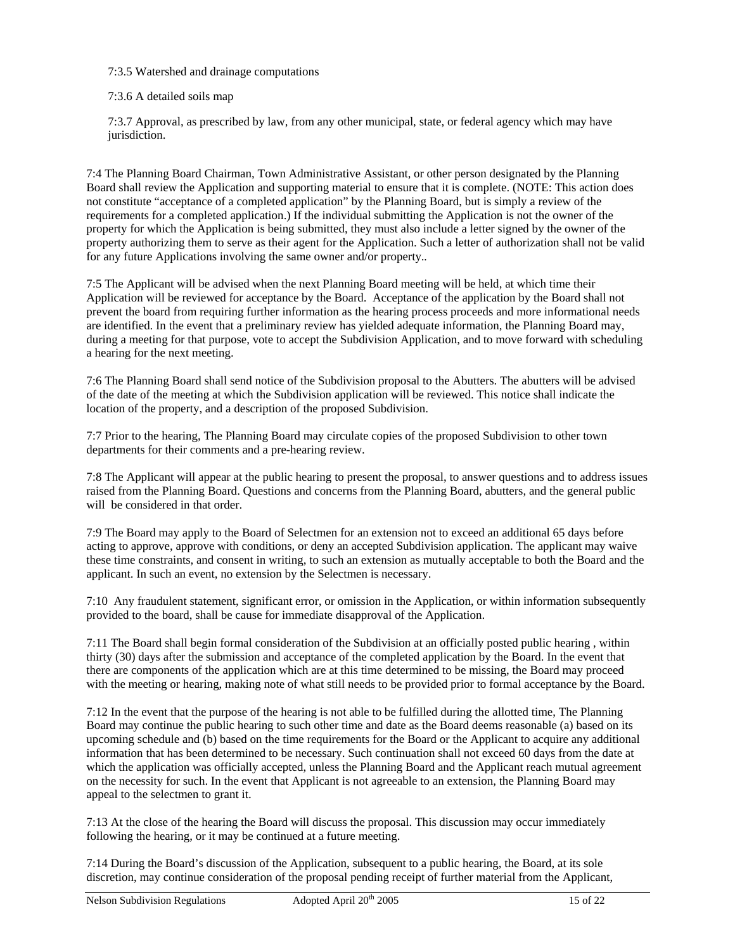7:3.5 Watershed and drainage computations

7:3.6 A detailed soils map

7:3.7 Approval, as prescribed by law, from any other municipal, state, or federal agency which may have jurisdiction.

7:4 The Planning Board Chairman, Town Administrative Assistant, or other person designated by the Planning Board shall review the Application and supporting material to ensure that it is complete. (NOTE: This action does not constitute "acceptance of a completed application" by the Planning Board, but is simply a review of the requirements for a completed application.) If the individual submitting the Application is not the owner of the property for which the Application is being submitted, they must also include a letter signed by the owner of the property authorizing them to serve as their agent for the Application. Such a letter of authorization shall not be valid for any future Applications involving the same owner and/or property.*.* 

7:5 The Applicant will be advised when the next Planning Board meeting will be held, at which time their Application will be reviewed for acceptance by the Board. Acceptance of the application by the Board shall not prevent the board from requiring further information as the hearing process proceeds and more informational needs are identified. In the event that a preliminary review has yielded adequate information, the Planning Board may, during a meeting for that purpose, vote to accept the Subdivision Application, and to move forward with scheduling a hearing for the next meeting.

7:6 The Planning Board shall send notice of the Subdivision proposal to the Abutters. The abutters will be advised of the date of the meeting at which the Subdivision application will be reviewed. This notice shall indicate the location of the property, and a description of the proposed Subdivision.

7:7 Prior to the hearing, The Planning Board may circulate copies of the proposed Subdivision to other town departments for their comments and a pre-hearing review.

7:8 The Applicant will appear at the public hearing to present the proposal, to answer questions and to address issues raised from the Planning Board. Questions and concerns from the Planning Board, abutters, and the general public will be considered in that order.

7:9 The Board may apply to the Board of Selectmen for an extension not to exceed an additional 65 days before acting to approve, approve with conditions, or deny an accepted Subdivision application. The applicant may waive these time constraints, and consent in writing, to such an extension as mutually acceptable to both the Board and the applicant. In such an event, no extension by the Selectmen is necessary.

7:10 Any fraudulent statement, significant error, or omission in the Application, or within information subsequently provided to the board, shall be cause for immediate disapproval of the Application.

7:11 The Board shall begin formal consideration of the Subdivision at an officially posted public hearing , within thirty (30) days after the submission and acceptance of the completed application by the Board. In the event that there are components of the application which are at this time determined to be missing, the Board may proceed with the meeting or hearing, making note of what still needs to be provided prior to formal acceptance by the Board.

7:12 In the event that the purpose of the hearing is not able to be fulfilled during the allotted time, The Planning Board may continue the public hearing to such other time and date as the Board deems reasonable (a) based on its upcoming schedule and (b) based on the time requirements for the Board or the Applicant to acquire any additional information that has been determined to be necessary. Such continuation shall not exceed 60 days from the date at which the application was officially accepted, unless the Planning Board and the Applicant reach mutual agreement on the necessity for such. In the event that Applicant is not agreeable to an extension, the Planning Board may appeal to the selectmen to grant it.

7:13 At the close of the hearing the Board will discuss the proposal. This discussion may occur immediately following the hearing, or it may be continued at a future meeting.

7:14 During the Board's discussion of the Application, subsequent to a public hearing, the Board, at its sole discretion, may continue consideration of the proposal pending receipt of further material from the Applicant,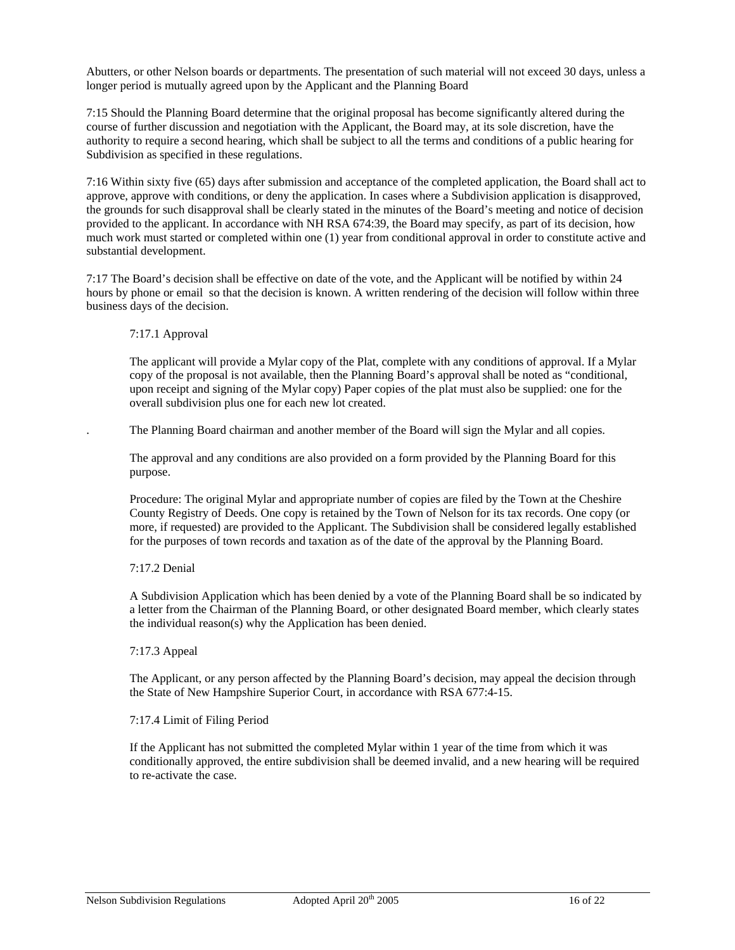Abutters, or other Nelson boards or departments. The presentation of such material will not exceed 30 days, unless a longer period is mutually agreed upon by the Applicant and the Planning Board

7:15 Should the Planning Board determine that the original proposal has become significantly altered during the course of further discussion and negotiation with the Applicant, the Board may, at its sole discretion, have the authority to require a second hearing, which shall be subject to all the terms and conditions of a public hearing for Subdivision as specified in these regulations.

7:16 Within sixty five (65) days after submission and acceptance of the completed application, the Board shall act to approve, approve with conditions, or deny the application. In cases where a Subdivision application is disapproved, the grounds for such disapproval shall be clearly stated in the minutes of the Board's meeting and notice of decision provided to the applicant. In accordance with NH RSA 674:39, the Board may specify, as part of its decision, how much work must started or completed within one (1) year from conditional approval in order to constitute active and substantial development.

7:17 The Board's decision shall be effective on date of the vote, and the Applicant will be notified by within 24 hours by phone or email so that the decision is known. A written rendering of the decision will follow within three business days of the decision.

# 7:17.1 Approval

The applicant will provide a Mylar copy of the Plat, complete with any conditions of approval. If a Mylar copy of the proposal is not available, then the Planning Board's approval shall be noted as "conditional, upon receipt and signing of the Mylar copy) Paper copies of the plat must also be supplied: one for the overall subdivision plus one for each new lot created.

. The Planning Board chairman and another member of the Board will sign the Mylar and all copies.

The approval and any conditions are also provided on a form provided by the Planning Board for this purpose.

Procedure: The original Mylar and appropriate number of copies are filed by the Town at the Cheshire County Registry of Deeds. One copy is retained by the Town of Nelson for its tax records. One copy (or more, if requested) are provided to the Applicant. The Subdivision shall be considered legally established for the purposes of town records and taxation as of the date of the approval by the Planning Board.

# 7:17.2 Denial

A Subdivision Application which has been denied by a vote of the Planning Board shall be so indicated by a letter from the Chairman of the Planning Board, or other designated Board member, which clearly states the individual reason(s) why the Application has been denied.

#### 7:17.3 Appeal

The Applicant, or any person affected by the Planning Board's decision, may appeal the decision through the State of New Hampshire Superior Court, in accordance with RSA 677:4-15.

#### 7:17.4 Limit of Filing Period

If the Applicant has not submitted the completed Mylar within 1 year of the time from which it was conditionally approved, the entire subdivision shall be deemed invalid, and a new hearing will be required to re-activate the case.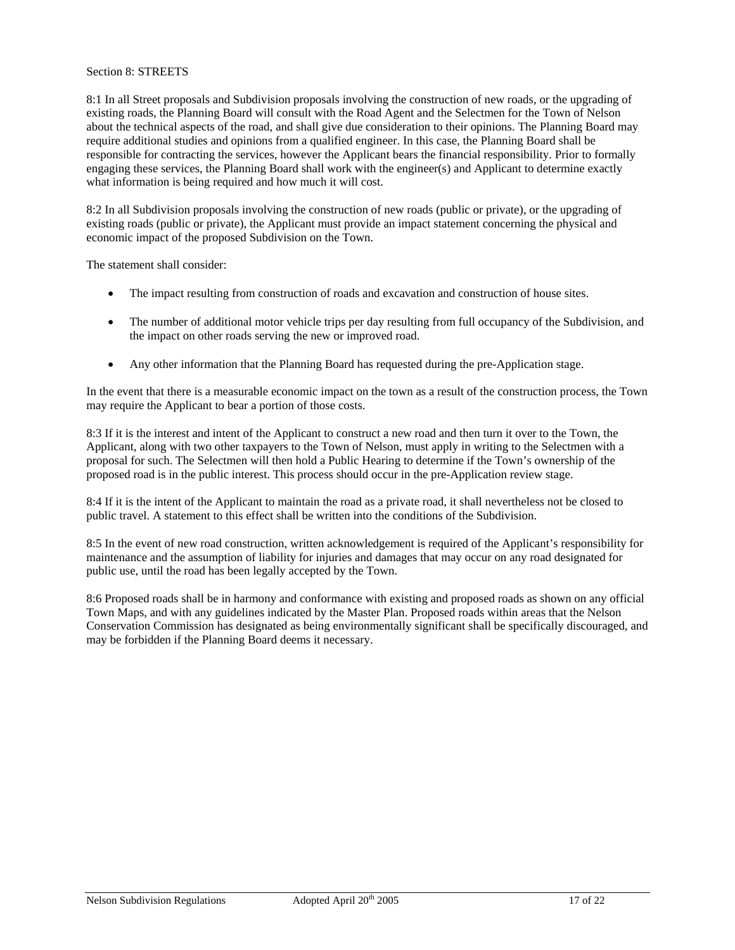### Section 8: STREETS

8:1 In all Street proposals and Subdivision proposals involving the construction of new roads, or the upgrading of existing roads, the Planning Board will consult with the Road Agent and the Selectmen for the Town of Nelson about the technical aspects of the road, and shall give due consideration to their opinions. The Planning Board may require additional studies and opinions from a qualified engineer. In this case, the Planning Board shall be responsible for contracting the services, however the Applicant bears the financial responsibility. Prior to formally engaging these services, the Planning Board shall work with the engineer(s) and Applicant to determine exactly what information is being required and how much it will cost.

8:2 In all Subdivision proposals involving the construction of new roads (public or private), or the upgrading of existing roads (public or private), the Applicant must provide an impact statement concerning the physical and economic impact of the proposed Subdivision on the Town.

The statement shall consider:

- The impact resulting from construction of roads and excavation and construction of house sites.
- The number of additional motor vehicle trips per day resulting from full occupancy of the Subdivision, and the impact on other roads serving the new or improved road.
- Any other information that the Planning Board has requested during the pre-Application stage.

In the event that there is a measurable economic impact on the town as a result of the construction process, the Town may require the Applicant to bear a portion of those costs.

8:3 If it is the interest and intent of the Applicant to construct a new road and then turn it over to the Town, the Applicant, along with two other taxpayers to the Town of Nelson, must apply in writing to the Selectmen with a proposal for such. The Selectmen will then hold a Public Hearing to determine if the Town's ownership of the proposed road is in the public interest. This process should occur in the pre-Application review stage.

8:4 If it is the intent of the Applicant to maintain the road as a private road, it shall nevertheless not be closed to public travel. A statement to this effect shall be written into the conditions of the Subdivision.

8:5 In the event of new road construction, written acknowledgement is required of the Applicant's responsibility for maintenance and the assumption of liability for injuries and damages that may occur on any road designated for public use, until the road has been legally accepted by the Town.

8:6 Proposed roads shall be in harmony and conformance with existing and proposed roads as shown on any official Town Maps, and with any guidelines indicated by the Master Plan. Proposed roads within areas that the Nelson Conservation Commission has designated as being environmentally significant shall be specifically discouraged, and may be forbidden if the Planning Board deems it necessary.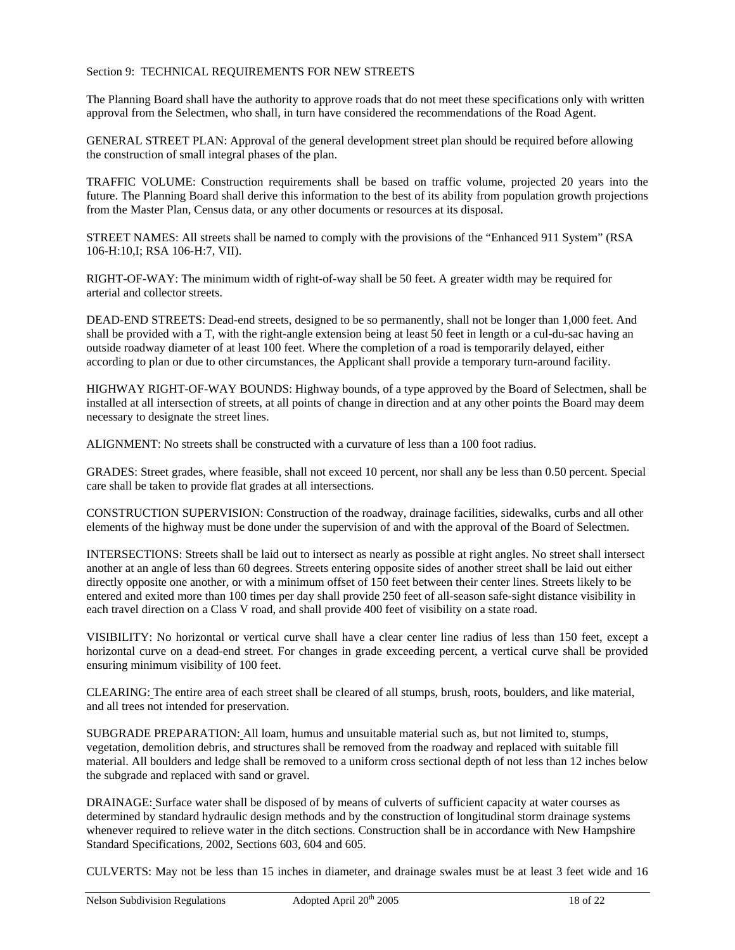# Section 9: TECHNICAL REQUIREMENTS FOR NEW STREETS

The Planning Board shall have the authority to approve roads that do not meet these specifications only with written approval from the Selectmen, who shall, in turn have considered the recommendations of the Road Agent.

GENERAL STREET PLAN: Approval of the general development street plan should be required before allowing the construction of small integral phases of the plan.

TRAFFIC VOLUME: Construction requirements shall be based on traffic volume, projected 20 years into the future. The Planning Board shall derive this information to the best of its ability from population growth projections from the Master Plan, Census data, or any other documents or resources at its disposal.

STREET NAMES: All streets shall be named to comply with the provisions of the "Enhanced 911 System" (RSA 106-H:10,I; RSA 106-H:7, VII).

RIGHT-OF-WAY: The minimum width of right-of-way shall be 50 feet. A greater width may be required for arterial and collector streets.

DEAD-END STREETS: Dead-end streets, designed to be so permanently, shall not be longer than 1,000 feet. And shall be provided with a T, with the right-angle extension being at least 50 feet in length or a cul-du-sac having an outside roadway diameter of at least 100 feet. Where the completion of a road is temporarily delayed, either according to plan or due to other circumstances, the Applicant shall provide a temporary turn-around facility.

HIGHWAY RIGHT-OF-WAY BOUNDS: Highway bounds, of a type approved by the Board of Selectmen, shall be installed at all intersection of streets, at all points of change in direction and at any other points the Board may deem necessary to designate the street lines.

ALIGNMENT: No streets shall be constructed with a curvature of less than a 100 foot radius.

GRADES: Street grades, where feasible, shall not exceed 10 percent, nor shall any be less than 0.50 percent. Special care shall be taken to provide flat grades at all intersections.

CONSTRUCTION SUPERVISION: Construction of the roadway, drainage facilities, sidewalks, curbs and all other elements of the highway must be done under the supervision of and with the approval of the Board of Selectmen.

INTERSECTIONS: Streets shall be laid out to intersect as nearly as possible at right angles. No street shall intersect another at an angle of less than 60 degrees. Streets entering opposite sides of another street shall be laid out either directly opposite one another, or with a minimum offset of 150 feet between their center lines. Streets likely to be entered and exited more than 100 times per day shall provide 250 feet of all-season safe-sight distance visibility in each travel direction on a Class V road, and shall provide 400 feet of visibility on a state road.

VISIBILITY: No horizontal or vertical curve shall have a clear center line radius of less than 150 feet, except a horizontal curve on a dead-end street. For changes in grade exceeding percent, a vertical curve shall be provided ensuring minimum visibility of 100 feet.

CLEARING: The entire area of each street shall be cleared of all stumps, brush, roots, boulders, and like material, and all trees not intended for preservation.

SUBGRADE PREPARATION: All loam, humus and unsuitable material such as, but not limited to, stumps, vegetation, demolition debris, and structures shall be removed from the roadway and replaced with suitable fill material. All boulders and ledge shall be removed to a uniform cross sectional depth of not less than 12 inches below the subgrade and replaced with sand or gravel.

DRAINAGE: Surface water shall be disposed of by means of culverts of sufficient capacity at water courses as determined by standard hydraulic design methods and by the construction of longitudinal storm drainage systems whenever required to relieve water in the ditch sections. Construction shall be in accordance with New Hampshire Standard Specifications, 2002, Sections 603, 604 and 605.

CULVERTS: May not be less than 15 inches in diameter, and drainage swales must be at least 3 feet wide and 16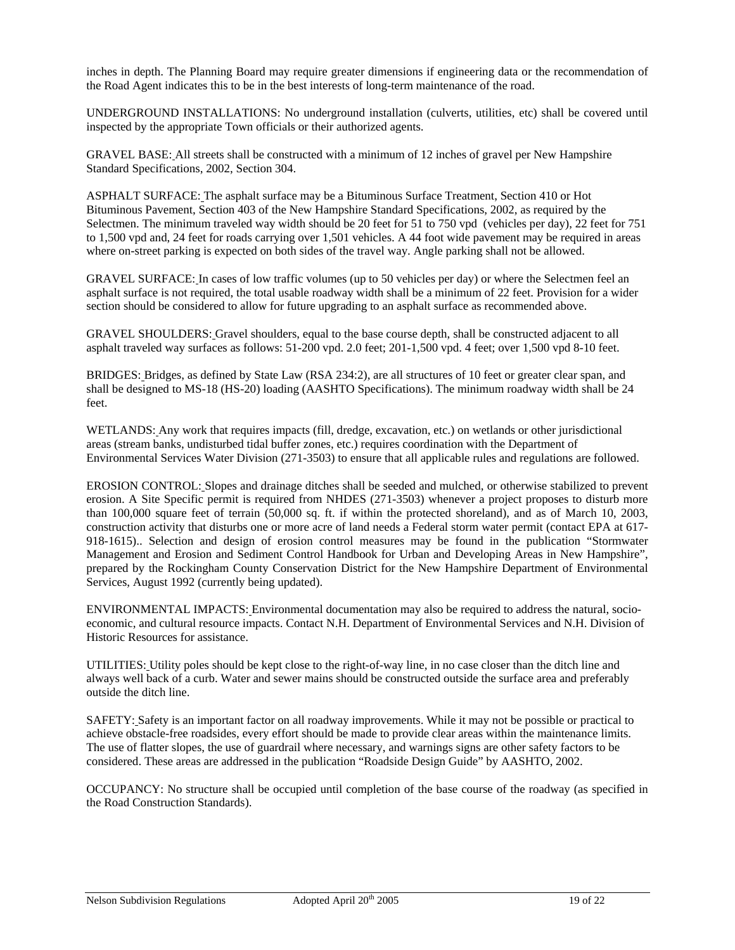inches in depth. The Planning Board may require greater dimensions if engineering data or the recommendation of the Road Agent indicates this to be in the best interests of long-term maintenance of the road.

UNDERGROUND INSTALLATIONS: No underground installation (culverts, utilities, etc) shall be covered until inspected by the appropriate Town officials or their authorized agents.

GRAVEL BASE: All streets shall be constructed with a minimum of 12 inches of gravel per New Hampshire Standard Specifications, 2002, Section 304.

ASPHALT SURFACE: The asphalt surface may be a Bituminous Surface Treatment, Section 410 or Hot Bituminous Pavement, Section 403 of the New Hampshire Standard Specifications, 2002, as required by the Selectmen. The minimum traveled way width should be 20 feet for 51 to 750 vpd (vehicles per day), 22 feet for 751 to 1,500 vpd and, 24 feet for roads carrying over 1,501 vehicles. A 44 foot wide pavement may be required in areas where on-street parking is expected on both sides of the travel way. Angle parking shall not be allowed.

GRAVEL SURFACE: In cases of low traffic volumes (up to 50 vehicles per day) or where the Selectmen feel an asphalt surface is not required, the total usable roadway width shall be a minimum of 22 feet. Provision for a wider section should be considered to allow for future upgrading to an asphalt surface as recommended above.

GRAVEL SHOULDERS: Gravel shoulders, equal to the base course depth, shall be constructed adjacent to all asphalt traveled way surfaces as follows: 51-200 vpd. 2.0 feet; 201-1,500 vpd. 4 feet; over 1,500 vpd 8-10 feet.

BRIDGES: Bridges, as defined by State Law (RSA 234:2), are all structures of 10 feet or greater clear span, and shall be designed to MS-18 (HS-20) loading (AASHTO Specifications). The minimum roadway width shall be 24 feet.

WETLANDS: Any work that requires impacts (fill, dredge, excavation, etc.) on wetlands or other jurisdictional areas (stream banks, undisturbed tidal buffer zones, etc.) requires coordination with the Department of Environmental Services Water Division (271-3503) to ensure that all applicable rules and regulations are followed.

EROSION CONTROL: Slopes and drainage ditches shall be seeded and mulched, or otherwise stabilized to prevent erosion. A Site Specific permit is required from NHDES (271-3503) whenever a project proposes to disturb more than 100,000 square feet of terrain (50,000 sq. ft. if within the protected shoreland), and as of March 10, 2003, construction activity that disturbs one or more acre of land needs a Federal storm water permit (contact EPA at 617- 918-1615).. Selection and design of erosion control measures may be found in the publication "Stormwater Management and Erosion and Sediment Control Handbook for Urban and Developing Areas in New Hampshire", prepared by the Rockingham County Conservation District for the New Hampshire Department of Environmental Services, August 1992 (currently being updated).

ENVIRONMENTAL IMPACTS: Environmental documentation may also be required to address the natural, socioeconomic, and cultural resource impacts. Contact N.H. Department of Environmental Services and N.H. Division of Historic Resources for assistance.

UTILITIES: Utility poles should be kept close to the right-of-way line, in no case closer than the ditch line and always well back of a curb. Water and sewer mains should be constructed outside the surface area and preferably outside the ditch line.

SAFETY: Safety is an important factor on all roadway improvements. While it may not be possible or practical to achieve obstacle-free roadsides, every effort should be made to provide clear areas within the maintenance limits. The use of flatter slopes, the use of guardrail where necessary, and warnings signs are other safety factors to be considered. These areas are addressed in the publication "Roadside Design Guide" by AASHTO, 2002.

OCCUPANCY: No structure shall be occupied until completion of the base course of the roadway (as specified in the Road Construction Standards).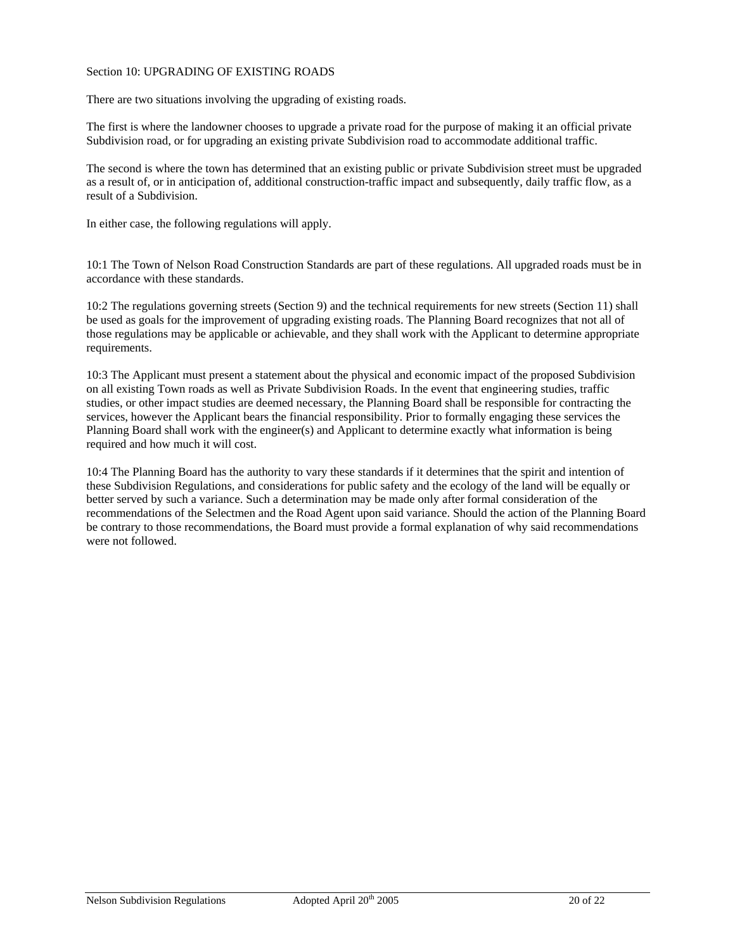#### Section 10: UPGRADING OF EXISTING ROADS

There are two situations involving the upgrading of existing roads.

The first is where the landowner chooses to upgrade a private road for the purpose of making it an official private Subdivision road, or for upgrading an existing private Subdivision road to accommodate additional traffic.

The second is where the town has determined that an existing public or private Subdivision street must be upgraded as a result of, or in anticipation of, additional construction-traffic impact and subsequently, daily traffic flow, as a result of a Subdivision.

In either case, the following regulations will apply.

10:1 The Town of Nelson Road Construction Standards are part of these regulations. All upgraded roads must be in accordance with these standards.

10:2 The regulations governing streets (Section 9) and the technical requirements for new streets (Section 11) shall be used as goals for the improvement of upgrading existing roads. The Planning Board recognizes that not all of those regulations may be applicable or achievable, and they shall work with the Applicant to determine appropriate requirements.

10:3 The Applicant must present a statement about the physical and economic impact of the proposed Subdivision on all existing Town roads as well as Private Subdivision Roads. In the event that engineering studies, traffic studies, or other impact studies are deemed necessary, the Planning Board shall be responsible for contracting the services, however the Applicant bears the financial responsibility. Prior to formally engaging these services the Planning Board shall work with the engineer(s) and Applicant to determine exactly what information is being required and how much it will cost.

10:4 The Planning Board has the authority to vary these standards if it determines that the spirit and intention of these Subdivision Regulations, and considerations for public safety and the ecology of the land will be equally or better served by such a variance. Such a determination may be made only after formal consideration of the recommendations of the Selectmen and the Road Agent upon said variance. Should the action of the Planning Board be contrary to those recommendations, the Board must provide a formal explanation of why said recommendations were not followed.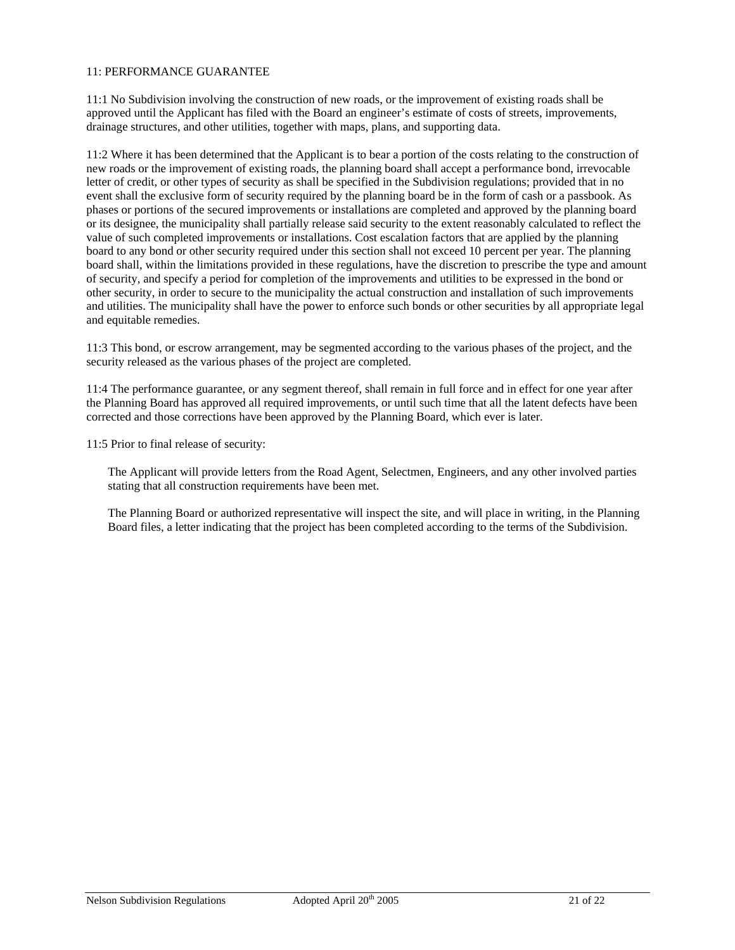### 11: PERFORMANCE GUARANTEE

11:1 No Subdivision involving the construction of new roads, or the improvement of existing roads shall be approved until the Applicant has filed with the Board an engineer's estimate of costs of streets, improvements, drainage structures, and other utilities, together with maps, plans, and supporting data.

11:2 Where it has been determined that the Applicant is to bear a portion of the costs relating to the construction of new roads or the improvement of existing roads, the planning board shall accept a performance bond, irrevocable letter of credit, or other types of security as shall be specified in the Subdivision regulations; provided that in no event shall the exclusive form of security required by the planning board be in the form of cash or a passbook. As phases or portions of the secured improvements or installations are completed and approved by the planning board or its designee, the municipality shall partially release said security to the extent reasonably calculated to reflect the value of such completed improvements or installations. Cost escalation factors that are applied by the planning board to any bond or other security required under this section shall not exceed 10 percent per year. The planning board shall, within the limitations provided in these regulations, have the discretion to prescribe the type and amount of security, and specify a period for completion of the improvements and utilities to be expressed in the bond or other security, in order to secure to the municipality the actual construction and installation of such improvements and utilities. The municipality shall have the power to enforce such bonds or other securities by all appropriate legal and equitable remedies.

11:3 This bond, or escrow arrangement, may be segmented according to the various phases of the project, and the security released as the various phases of the project are completed.

11:4 The performance guarantee, or any segment thereof, shall remain in full force and in effect for one year after the Planning Board has approved all required improvements, or until such time that all the latent defects have been corrected and those corrections have been approved by the Planning Board, which ever is later.

11:5 Prior to final release of security:

The Applicant will provide letters from the Road Agent, Selectmen, Engineers, and any other involved parties stating that all construction requirements have been met.

The Planning Board or authorized representative will inspect the site, and will place in writing, in the Planning Board files, a letter indicating that the project has been completed according to the terms of the Subdivision.